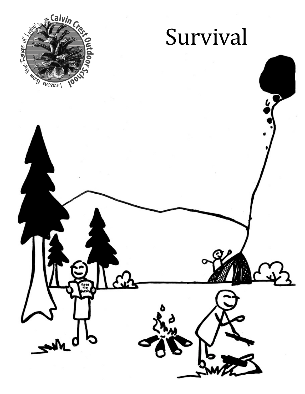

# Survival

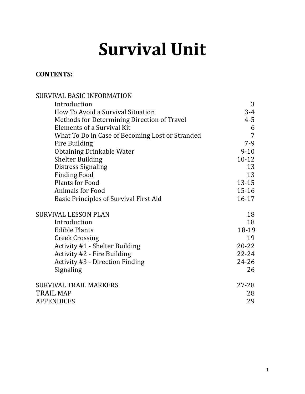# **Survival Unit**

# **CONTENTS:**

| SURVIVAL BASIC INFORMATION                      |           |
|-------------------------------------------------|-----------|
| Introduction                                    | 3         |
| How To Avoid a Survival Situation               | $3 - 4$   |
| Methods for Determining Direction of Travel     | $4 - 5$   |
| <b>Elements of a Survival Kit</b>               | 6         |
| What To Do in Case of Becoming Lost or Stranded | 7         |
| Fire Building                                   | $7-9$     |
| <b>Obtaining Drinkable Water</b>                | $9 - 10$  |
| <b>Shelter Building</b>                         | $10 - 12$ |
| <b>Distress Signaling</b>                       | 13        |
| <b>Finding Food</b>                             | 13        |
| <b>Plants for Food</b>                          | $13 - 15$ |
| <b>Animals for Food</b>                         | $15 - 16$ |
| Basic Principles of Survival First Aid          | $16 - 17$ |
| <b>SURVIVAL LESSON PLAN</b>                     | 18        |
| Introduction                                    | 18        |
| <b>Edible Plants</b>                            | 18-19     |
| <b>Creek Crossing</b>                           | 19        |
| Activity #1 - Shelter Building                  | $20 - 22$ |
| Activity #2 - Fire Building                     | $22 - 24$ |
| <b>Activity #3 - Direction Finding</b>          | 24-26     |
| Signaling                                       | 26        |
| <b>SURVIVAL TRAIL MARKERS</b>                   | $27 - 28$ |
| <b>TRAIL MAP</b>                                | 28        |
| <b>APPENDICES</b>                               | 29        |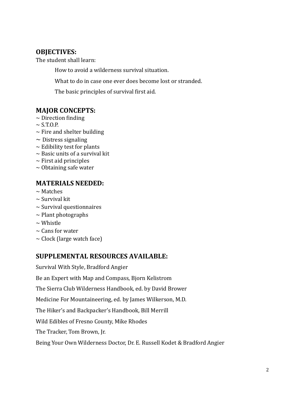# **OBJECTIVES:**

The student shall learn:

How to avoid a wilderness survival situation.

What to do in case one ever does become lost or stranded.

The basic principles of survival first aid.

# **MAJOR CONCEPTS:**

- $\sim$  Direction finding
- $\sim$  S.T.O.P.
- $\sim$  Fire and shelter building
- $\sim$  Distress signaling
- $\sim$  Edibility test for plants
- $\sim$  Basic units of a survival kit
- $\sim$  First aid principles
- $\sim$  Obtaining safe water

# **MATERIALS NEEDED:**

- $\sim$  Matches
- $\sim$  Survival kit
- $\sim$  Survival questionnaires
- $\sim$  Plant photographs
- $\sim$  Whistle
- $\sim$  Cans for water
- $\sim$  Clock (large watch face)

# **SUPPLEMENTAL RESOURCES AVAILABLE:**

Survival With Style, Bradford Angier

Be an Expert with Map and Compass, Bjorn Kelistrom

The Sierra Club Wilderness Handbook, ed. by David Brower

Medicine For Mountaineering, ed. by James Wilkerson, M.D.

The Hiker's and Backpacker's Handbook, Bill Merrill

Wild Edibles of Fresno County, Mike Rhodes

The Tracker, Tom Brown, Jr.

Being Your Own Wilderness Doctor, Dr. E. Russell Kodet & Bradford Angier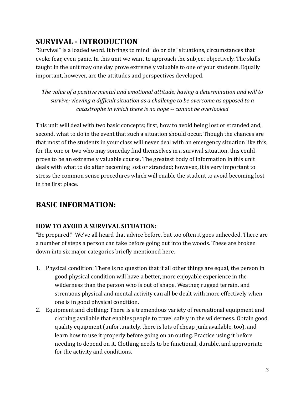# **SURVIVAL - INTRODUCTION**

"Survival" is a loaded word. It brings to mind "do or die" situations, circumstances that evoke fear, even panic. In this unit we want to approach the subject objectively. The skills taught in the unit may one day prove extremely valuable to one of your students. Equally important, however, are the attitudes and perspectives developed.

The value of a positive mental and emotional attitude; having a determination and will to survive; viewing a difficult situation as a challenge to be overcome as opposed to a catastrophe in which there is no hope -- cannot be overlooked

This unit will deal with two basic concepts; first, how to avoid being lost or stranded and, second, what to do in the event that such a situation should occur. Though the chances are that most of the students in your class will never deal with an emergency situation like this, for the one or two who may someday find themselves in a survival situation, this could prove to be an extremely valuable course. The greatest body of information in this unit deals with what to do after becoming lost or stranded; however., it is very important to stress the common sense procedures which will enable the student to avoid becoming lost in the first place.

# **BASIC INFORMATION:**

#### **HOW TO AVOID A SURVIVAL SITUATION:**

"Be prepared." We've all heard that advice before, but too often it goes unheeded. There are a number of steps a person can take before going out into the woods. These are broken down into six major categories briefly mentioned here.

- 1. Physical condition: There is no question that if all other things are equal, the person in good physical condition will have a better, more enjoyable experience in the wilderness than the person who is out of shape. Weather, rugged terrain, and strenuous physical and mental activity can all be dealt with more effectively when one is in good physical condition.
- 2. Equipment and clothing: There is a tremendous variety of recreational equipment and clothing available that enables people to travel safely in the wilderness. Obtain good quality equipment (unfortunately, there is lots of cheap junk available, too), and learn how to use it properly before going on an outing. Practice using it before needing to depend on it. Clothing needs to be functional, durable, and appropriate for the activity and conditions.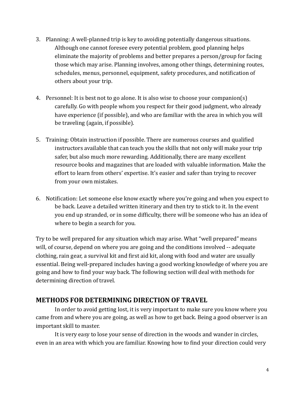- 3. Planning: A well-planned trip is key to avoiding potentially dangerous situations. Although one cannot foresee every potential problem, good planning helps eliminate the majority of problems and better prepares a person/group for facing those which may arise. Planning involves, among other things, determining routes, schedules, menus, personnel, equipment, safety procedures, and notification of others about your trip.
- 4. Personnel: It is best not to go alone. It is also wise to choose your companion(s) carefully. Go with people whom you respect for their good judgment, who already have experience (if possible), and who are familiar with the area in which you will be traveling (again, if possible).
- 5. Training: Obtain instruction if possible. There are numerous courses and qualified instructors available that can teach you the skills that not only will make your trip safer, but also much more rewarding. Additionally, there are many excellent resource books and magazines that are loaded with valuable information. Make the effort to learn from others' expertise. It's easier and safer than trying to recover from your own mistakes.
- 6. Notification: Let someone else know exactly where you're going and when you expect to be back. Leave a detailed written itinerary and then try to stick to it. In the event you end up stranded, or in some difficulty, there will be someone who has an idea of where to begin a search for you.

Try to be well prepared for any situation which may arise. What "well prepared" means will, of course, depend on where you are going and the conditions involved -- adequate clothing, rain gear, a survival kit and first aid kit, along with food and water are usually essential. Being well-prepared includes having a good working knowledge of where you are going and how to find your way back. The following section will deal with methods for determining direction of travel.

# **METHODS FOR DETERMINING DIRECTION OF TRAVEL**

In order to avoid getting lost, it is very important to make sure you know where you came from and where you are going, as well as how to get back. Being a good observer is an important skill to master.

It is very easy to lose your sense of direction in the woods and wander in circles, even in an area with which you are familiar. Knowing how to find your direction could very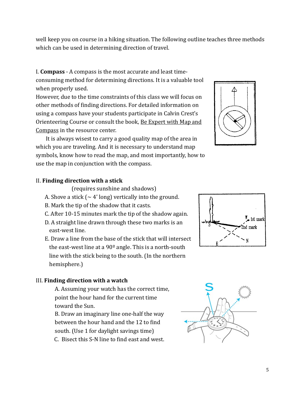well keep you on course in a hiking situation. The following outline teaches three methods which can be used in determining direction of travel.

I. Compass - A compass is the most accurate and least time-

consuming method for determining directions. It is a valuable tool when properly used.

However, due to the time constraints of this class we will focus on other methods of finding directions. For detailed information on using a compass have your students participate in Calvin Crest's Orienteering Course or consult the book, Be Expert with Map and Compass in the resource center.

It is always wisest to carry a good quality map of the area in which you are traveling. And it is necessary to understand map symbols, know how to read the map, and most importantly, how to use the map in conjunction with the compass.



#### II. Finding direction with a stick

(requires sunshine and shadows)

- A. Shove a stick  $(\sim 4'$  long) vertically into the ground.
- B. Mark the tip of the shadow that it casts.
- C. After 10-15 minutes mark the tip of the shadow again.
- D. A straight line drawn through these two marks is an east-west line.
- E. Draw a line from the base of the stick that will intersect the east-west line at a  $90^{\circ}$  angle. This is a north-south line with the stick being to the south. (In the northern hemisphere.)

#### III. Finding direction with a watch

A. Assuming your watch has the correct time, point the hour hand for the current time toward the Sun.

B. Draw an imaginary line one-half the way between the hour hand and the 12 to find south. (Use 1 for daylight savings time)

C. Bisect this S-N line to find east and west.



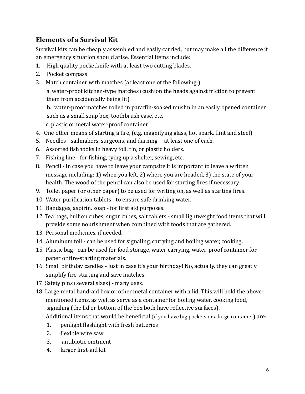# **Elements of a Survival Kit**

Survival kits can be cheaply assembled and easily carried, but may make all the difference if an emergency situation should arise. Essential items include:

- 1. High quality pocketknife with at least two cutting blades.
- 2. Pocket compass
- 3. Match container with matches (at least one of the following:) a. water-proof kitchen-type matches (cushion the heads against friction to prevent them from accidentally being lit)

b. water-proof matches rolled in paraffin-soaked muslin in an easily opened container such as a small soap box, toothbrush case, etc.

c. plastic or metal water-proof container.

- 4. One other means of starting a fire, (e.g. magnifying glass, hot spark, flint and steel)
- 5. Needles sailmakers, surgeons, and darning -- at least one of each.
- 6. Assorted fishhooks in heavy foil, tin, or plastic holders.
- 7. Fishing line for fishing, tying up a shelter, sewing, etc.
- 8. Pencil in case you have to leave your campsite it is important to leave a written message including: 1) when you left, 2) where you are headed, 3) the state of your health. The wood of the pencil can also be used for starting fires if necessary.
- 9. Toilet paper (or other paper) to be used for writing on, as well as starting fires.
- 10. Water purification tablets to ensure safe drinking water.
- 11. Bandages, aspirin, soap for first aid purposes.
- 12. Tea bags, bullion cubes, sugar cubes, salt tablets small lightweight food items that will provide some nourishment when combined with foods that are gathered.
- 13. Personal medicines, if needed.
- 14. Aluminum foil can be used for signaling, carrying and boiling water, cooking.
- 15. Plastic bag can be used for food storage, water carrying, water-proof container for paper or fire-starting materials.
- 16. Small birthday candles just in case it's your birthday! No, actually, they can greatly simplify fire-starting and save matches.
- 17. Safety pins (several sizes) many uses.
- 18. Large metal band-aid box or other metal container with a lid. This will hold the abovementioned items, as well as serve as a container for boiling water, cooking food, signaling (the lid or bottom of the box both have reflective surfaces). Additional items that would be beneficial (if you have big pockets or a large container) are:
	- $1<sub>1</sub>$ penlight flashlight with fresh batteries
	- $2.$ flexible wire saw
	- $3.$ antibiotic ointment
	- 4. larger first-aid kit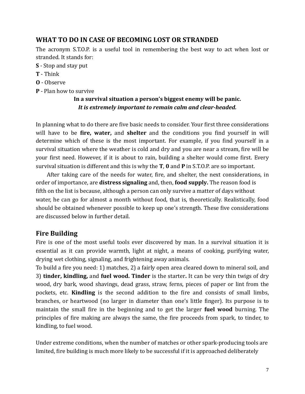# WHAT TO DO IN CASE OF BECOMING LOST OR STRANDED

The acronym S.T.O.P. is a useful tool in remembering the best way to act when lost or stranded. It stands for:

- S Stop and stay put
- **T** Think
- **0** Observe
- **P** Plan how to survive

#### In a survival situation a person's biggest enemy will be panic. It is extremely important to remain calm and clear-headed.

In planning what to do there are five basic needs to consider. Your first three considerations will have to be fire, water, and shelter and the conditions you find yourself in will determine which of these is the most important. For example, if you find yourself in a survival situation where the weather is cold and dry and you are near a stream, fire will be your first need. However, if it is about to rain, building a shelter would come first. Every survival situation is different and this is why the  $T$ , 0 and  $P$  in S.T.O.P. are so important.

After taking care of the needs for water, fire, and shelter, the next considerations, in order of importance, are **distress signaling** and, then, **food supply**. The reason food is fifth on the list is because, although a person can only survive a matter of days without water, he can go for almost a month without food, that is, theoretically. Realistically, food should be obtained whenever possible to keep up one's strength. These five considerations are discussed below in further detail.

# **Fire Building**

Fire is one of the most useful tools ever discovered by man. In a survival situation it is essential as it can provide warmth, light at night, a means of cooking, purifying water, drying wet clothing, signaling, and frightening away animals.

To build a fire you need: 1) matches, 2) a fairly open area cleared down to mineral soil, and 3) tinder, kindling, and fuel wood. Tinder is the starter. It can be very thin twigs of dry wood, dry bark, wood shavings, dead grass, straw, ferns, pieces of paper or lint from the pockets, etc. Kindling is the second addition to the fire and consists of small limbs, branches, or heartwood (no larger in diameter than one's little finger). Its purpose is to maintain the small fire in the beginning and to get the larger fuel wood burning. The principles of fire making are always the same, the fire proceeds from spark, to tinder, to kindling, to fuel wood.

Under extreme conditions, when the number of matches or other spark-producing tools are limited, fire building is much more likely to be successful if it is approached deliberately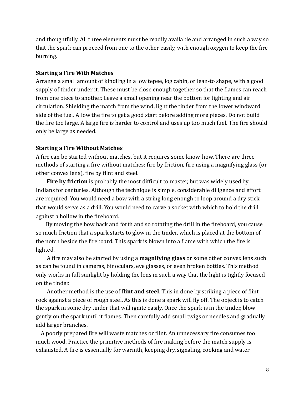and thoughtfully. All three elements must be readily available and arranged in such a way so that the spark can proceed from one to the other easily, with enough oxygen to keep the fire burning.

#### **Starting a Fire With Matches**

Arrange a small amount of kindling in a low tepee, log cabin, or lean-to shape, with a good supply of tinder under it. These must be close enough together so that the flames can reach from one piece to another. Leave a small opening near the bottom for lighting and air circulation. Shielding the match from the wind, light the tinder from the lower windward side of the fuel. Allow the fire to get a good start before adding more pieces. Do not build the fire too large. A large fire is harder to control and uses up too much fuel. The fire should only be large as needed.

#### **Starting a Fire Without Matches**

A fire can be started without matches, but it requires some know-how. There are three methods of starting a fire without matches: fire by friction, fire using a magnifying glass (or other convex lens), fire by flint and steel.

Fire by friction is probably the most difficult to master, but was widely used by Indians for centuries. Although the technique is simple, considerable diligence and effort are required. You would need a bow with a string long enough to loop around a dry stick that would serve as a drill. You would need to carve a socket with which to hold the drill against a hollow in the fireboard.

By moving the bow back and forth and so rotating the drill in the fireboard, you cause so much friction that a spark starts to glow in the tinder, which is placed at the bottom of the notch beside the fireboard. This spark is blown into a flame with which the fire is lighted.

A fire may also be started by using a **magnifying glass** or some other convex lens such as can be found in cameras, binoculars, eye glasses, or even broken bottles. This method only works in full sunlight by holding the lens in such a way that the light is tightly focused on the tinder.

Another method is the use of flint and steel. This in done by striking a piece of flint rock against a piece of rough steel. As this is done a spark will fly off. The object is to catch the spark in some dry tinder that will ignite easily. Once the spark is in the tinder, blow gently on the spark until it flames. Then carefully add small twigs or needles and gradually add larger branches.

A poorly prepared fire will waste matches or flint. An unnecessary fire consumes too much wood. Practice the primitive methods of fire making before the match supply is exhausted. A fire is essentially for warmth, keeping dry, signaling, cooking and water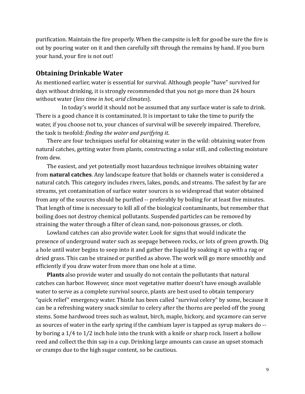purification. Maintain the fire properly. When the campsite is left for good be sure the fire is out by pouring water on it and then carefully sift through the remains by hand. If you burn your hand, your fire is not out!

#### **Obtaining Drinkable Water**

As mentioned earlier, water is essential for survival. Although people "have" survived for days without drinking, it is strongly recommended that you not go more than 24 hours without water (less time in hot, arid climates).

In today's world it should not be assumed that any surface water is safe to drink. There is a good chance it is contaminated. It is important to take the time to purify the water, if you choose not to, your chances of survival will be severely impaired. Therefore, the task is twofold: finding the water and purifying it.

There are four techniques useful for obtaining water in the wild: obtaining water from natural catches, getting water from plants, constructing a solar still, and collecting moisture from dew.

The easiest, and yet potentially most hazardous technique involves obtaining water from natural catches. Any landscape feature that holds or channels water is considered a natural catch. This category includes rivers, lakes, ponds, and streams. The safest by far are streams, yet contamination of surface water sources is so widespread that water obtained from any of the sources should be purified -- preferably by boiling for at least five minutes. That length of time is necessary to kill all of the biological contaminants, but remember that boiling does not destroy chemical pollutants. Suspended particles can be removed by straining the water through a filter of clean sand, non-poisonous grasses, or cloth.

Lowland catches can also provide water. Look for signs that would indicate the presence of underground water such as seepage between rocks, or lots of green growth. Dig a hole until water begins to seep into it and gather the liquid by soaking it up with a rag or dried grass. This can be strained or purified as above. The work will go more smoothly and efficiently if you draw water from more than one hole at a time.

**Plants** also provide water and usually do not contain the pollutants that natural catches can harbor. However, since most vegetative matter doesn't have enough available water to serve as a complete survival source, plants are best used to obtain temporary "quick relief" emergency water. Thistle has been called "survival celery" by some, because it can be a refreshing watery snack similar to celery after the thorns are peeled off the young stems. Some hardwood trees such as walnut, birch, maple, hickory, and sycamore can serve as sources of water in the early spring if the cambium layer is tapped as syrup makers do -by boring a  $1/4$  to  $1/2$  inch hole into the trunk with a knife or sharp rock. Insert a hollow reed and collect the thin sap in a cup. Drinking large amounts can cause an upset stomach or cramps due to the high sugar content, so be cautious.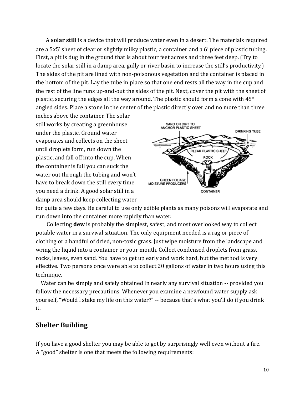A solar still is a device that will produce water even in a desert. The materials required are a 5x5' sheet of clear or slightly milky plastic, a container and a 6' piece of plastic tubing. First, a pit is dug in the ground that is about four feet across and three feet deep. (Try to locate the solar still in a damp area, gully or river basin to increase the still's productivity.) The sides of the pit are lined with non-poisonous vegetation and the container is placed in the bottom of the pit. Lay the tube in place so that one end rests all the way in the cup and the rest of the line runs up-and-out the sides of the pit. Next, cover the pit with the sheet of plastic, securing the edges all the way around. The plastic should form a cone with 45° angled sides. Place a stone in the center of the plastic directly over and no more than three

inches above the container. The solar still works by creating a greenhouse under the plastic. Ground water evaporates and collects on the sheet until droplets form, run down the plastic, and fall off into the cup. When the container is full you can suck the water out through the tubing and won't have to break down the still every time you need a drink. A good solar still in a damp area should keep collecting water



for quite a few days. Be careful to use only edible plants as many poisons will evaporate and run down into the container more rapidly than water.

Collecting **dew** is probably the simplest, safest, and most overlooked way to collect potable water in a survival situation. The only equipment needed is a rag or piece of clothing or a handful of dried, non-toxic grass. Just wipe moisture from the landscape and wring the liquid into a container or your mouth. Collect condensed droplets from grass, rocks, leaves, even sand. You have to get up early and work hard, but the method is very effective. Two persons once were able to collect 20 gallons of water in two hours using this technique.

Water can be simply and safely obtained in nearly any survival situation -- provided you follow the necessary precautions. Whenever you examine a newfound water supply ask yourself, "Would I stake my life on this water?" -- because that's what you'll do if you drink it.

#### **Shelter Building**

If you have a good shelter you may be able to get by surprisingly well even without a fire. A "good" shelter is one that meets the following requirements: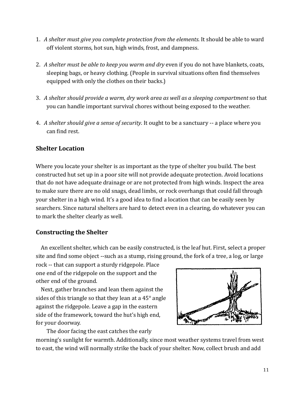- 1. A shelter must give you complete protection from the elements. It should be able to ward off violent storms, hot sun, high winds, frost, and dampness.
- 2. A shelter must be able to keep you warm and dry even if you do not have blankets, coats, sleeping bags, or heavy clothing. (People in survival situations often find themselves equipped with only the clothes on their backs.)
- 3. A shelter should provide a warm, dry work area as well as a sleeping compartment so that you can handle important survival chores without being exposed to the weather.
- 4. A shelter should give a sense of security. It ought to be a sanctuary -- a place where you can find rest.

### **Shelter Location**

Where you locate your shelter is as important as the type of shelter you build. The best constructed hut set up in a poor site will not provide adequate protection. Avoid locations that do not have adequate drainage or are not protected from high winds. Inspect the area to make sure there are no old snags, dead limbs, or rock overhangs that could fall through your shelter in a high wind. It's a good idea to find a location that can be easily seen by searchers. Since natural shelters are hard to detect even in a clearing, do whatever you can to mark the shelter clearly as well.

#### **Constructing the Shelter**

An excellent shelter, which can be easily constructed, is the leaf hut. First, select a proper site and find some object --such as a stump, rising ground, the fork of a tree, a log, or large

rock -- that can support a sturdy ridgepole. Place one end of the ridgepole on the support and the other end of the ground.

Next, gather branches and lean them against the sides of this triangle so that they lean at a 45° angle against the ridgepole. Leave a gap in the eastern side of the framework, toward the hut's high end, for your doorway.

The door facing the east catches the early

morning's sunlight for warmth. Additionally, since most weather systems travel from west to east, the wind will normally strike the back of your shelter. Now, collect brush and add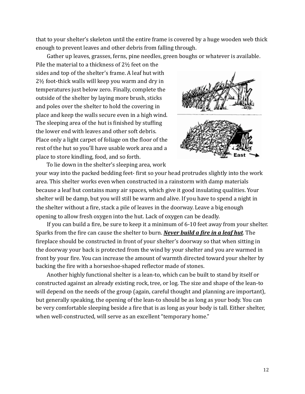that to your shelter's skeleton until the entire frame is covered by a huge wooden web thick enough to prevent leaves and other debris from falling through.

Gather up leaves, grasses, ferns, pine needles, green boughs or whatever is available.

Pile the material to a thickness of 21/2 feet on the sides and top of the shelter's frame. A leaf hut with 2½ foot-thick walls will keep you warm and dry in temperatures just below zero. Finally, complete the outside of the shelter by laying more brush, sticks and poles over the shelter to hold the covering in place and keep the walls secure even in a high wind. The sleeping area of the hut is finished by stuffing the lower end with leaves and other soft debris. Place only a light carpet of foliage on the floor of the rest of the hut so you'll have usable work area and a place to store kindling, food, and so forth.





To lie down in the shelter's sleeping area, work your way into the packed bedding feet-first so your head protrudes slightly into the work area. This shelter works even when constructed in a rainstorm with damp materials because a leaf hut contains many air spaces, which give it good insulating qualities. Your shelter will be damp, but you will still be warm and alive. If you have to spend a night in the shelter without a fire, stack a pile of leaves in the doorway. Leave a big enough opening to allow fresh oxygen into the hut. Lack of oxygen can be deadly.

If you can build a fire, be sure to keep it a minimum of 6-10 feet away from your shelter. Sparks from the fire can cause the shelter to burn. Never build a fire in a leaf hut. The fireplace should be constructed in front of your shelter's doorway so that when sitting in the doorway your back is protected from the wind by your shelter and you are warmed in front by your fire. You can increase the amount of warmth directed toward your shelter by backing the fire with a horseshoe-shaped reflector made of stones.

Another highly functional shelter is a lean-to, which can be built to stand by itself or constructed against an already existing rock, tree, or log. The size and shape of the lean-to will depend on the needs of the group (again, careful thought and planning are important), but generally speaking, the opening of the lean-to should be as long as your body. You can be very comfortable sleeping beside a fire that is as long as your body is tall. Either shelter, when well-constructed, will serve as an excellent "temporary home."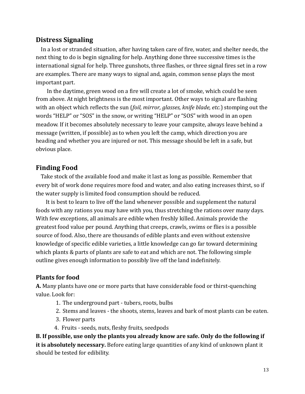#### **Distress Signaling**

In a lost or stranded situation, after having taken care of fire, water, and shelter needs, the next thing to do is begin signaling for help. Anything done three successive times is the international signal for help. Three gunshots, three flashes, or three signal fires set in a row are examples. There are many ways to signal and, again, common sense plays the most important part.

In the daytime, green wood on a fire will create a lot of smoke, which could be seen from above. At night brightness is the most important. Other ways to signal are flashing with an object which reflects the sun (foil, mirror, glasses, knife blade, etc.) stomping out the words "HELP" or "SOS" in the snow, or writing "HELP" or "SOS" with wood in an open meadow. If it becomes absolutely necessary to leave your campsite, always leave behind a message (written, if possible) as to when you left the camp, which direction you are heading and whether you are injured or not. This message should be left in a safe, but obvious place.

### **Finding Food**

Take stock of the available food and make it last as long as possible. Remember that every bit of work done requires more food and water, and also eating increases thirst, so if the water supply is limited food consumption should be reduced.

It is best to learn to live off the land whenever possible and supplement the natural foods with any rations you may have with you, thus stretching the rations over many days. With few exceptions, all animals are edible when freshly killed. Animals provide the greatest food value per pound. Anything that creeps, crawls, swims or flies is a possible source of food. Also, there are thousands of edible plants and even without extensive knowledge of specific edible varieties, a little knowledge can go far toward determining which plants & parts of plants are safe to eat and which are not. The following simple outline gives enough information to possibly live off the land indefinitely.

#### **Plants for food**

A. Many plants have one or more parts that have considerable food or thirst-quenching value. Look for:

- 1. The underground part tubers, roots, bulbs
- 2. Stems and leaves the shoots, stems, leaves and bark of most plants can be eaten.
- 3. Flower parts
- 4. Fruits seeds, nuts, fleshy fruits, seedpods

B. If possible, use only the plants you already know are safe. Only do the following if it is absolutely necessary. Before eating large quantities of any kind of unknown plant it should be tested for edibility.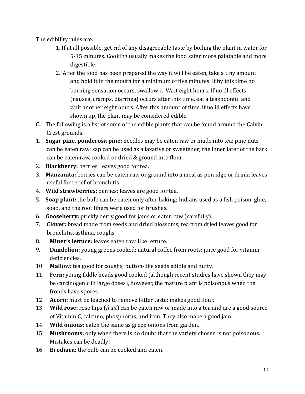The edibility rules are:

- 1. If at all possible, get rid of any disagreeable taste by boiling the plant in water for 5-15 minutes. Cooking usually makes the food safer, more palatable and more digestible.
- 2. After the food has been prepared the way it will be eaten, take a tiny amount and hold it in the mouth for a minimum of five minutes. If by this time no burning sensation occurs, swallow it. Wait eight hours. If no ill effects (nausea, cramps, diarrhea) occurs after this time, eat a teaspoonful and wait another eight hours. After this amount of time, if no ill effects have shown up, the plant may be considered edible.
- **C.** The following is a list of some of the edible plants that can be found around the Calvin Crest grounds.
- 1. Sugar pine, ponderosa pine: needles may be eaten raw or made into tea; pine nuts can be eaten raw; sap can be used as a laxative or sweetener; the inner later of the bark can be eaten raw, cooked or dried & ground into flour.
- 2. Blackberry: berries; leaves good for tea.
- 3. Manzanita: berries can be eaten raw or ground into a meal as porridge or drink; leaves useful for relief of bronchitis.
- 4. Wild strawberries: berries; leaves are good for tea.
- 5. Soap plant: the bulb can be eaten only after baking; Indians used as a fish poison, glue, soap, and the root fibers were used for brushes.
- 6. Gooseberry: prickly berry good for jams or eaten raw (carefully).
- 7. Clover: bread made from seeds and dried blossoms; tea from dried leaves good for bronchitis, asthma, coughs.
- 8. Miner's lettuce: leaves eaten raw, like lettuce.
- 9. **Dandelion:** young greens cooked; natural coffee from roots; juice good for vitamin deficiencies.
- 10. Mallow: tea good for coughs; button-like seeds edible and nutty.
- 11. Fern: young fiddle heads good cooked (although recent studies have shown they may be carcinogenic in large doses), however, the mature plant is poisonous when the fronds have spores.
- 12. Acorn: must be leached to remove bitter taste; makes good flour.
- 13. Wild rose: rose hips (fruit) can be eaten raw or made into a tea and are a good source of Vitamin C, calcium, phosphorus, and iron. They also make a good jam.
- 14. Wild onions: eaten the same as green onions from garden.
- 15. Mushrooms: only when there is no doubt that the variety chosen is not poisonous. Mistakes can be deadly!
- 16. Brodiaea: the bulb can be cooked and eaten.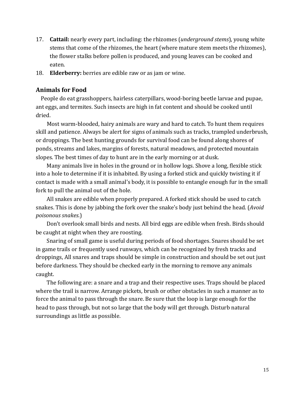- 17. **Cattail:** nearly every part, including: the rhizomes (*underground stems*), young white stems that come of the rhizomes, the heart (where mature stem meets the rhizomes), the flower stalks before pollen is produced, and young leaves can be cooked and eaten.
- 18. Elderberry: berries are edible raw or as jam or wine.

#### **Animals for Food**

People do eat grasshoppers, hairless caterpillars, wood-boring beetle larvae and pupae, ant eggs, and termites. Such insects are high in fat content and should be cooked until dried.

Most warm-blooded, hairy animals are wary and hard to catch. To hunt them requires skill and patience. Always be alert for signs of animals such as tracks, trampled underbrush, or droppings. The best hunting grounds for survival food can be found along shores of ponds, streams and lakes, margins of forests, natural meadows, and protected mountain slopes. The best times of day to hunt are in the early morning or at dusk.

Many animals live in holes in the ground or in hollow logs. Shove a long, flexible stick into a hole to determine if it is inhabited. By using a forked stick and quickly twisting it if contact is made with a small animal's body, it is possible to entangle enough fur in the small fork to pull the animal out of the hole.

All snakes are edible when properly prepared. A forked stick should be used to catch snakes. This is done by jabbing the fork over the snake's body just behind the head. (Avoid poisonous snakes.)

Don't overlook small birds and nests. All bird eggs are edible when fresh. Birds should be caught at night when they are roosting.

Snaring of small game is useful during periods of food shortages. Snares should be set in game trails or frequently used runways, which can be recognized by fresh tracks and droppings, All snares and traps should be simple in construction and should be set out just before darkness. They should be checked early in the morning to remove any animals caught.

The following are: a snare and a trap and their respective uses. Traps should be placed where the trail is narrow. Arrange pickets, brush or other obstacles in such a manner as to force the animal to pass through the snare. Be sure that the loop is large enough for the head to pass through, but not so large that the body will get through. Disturb natural surroundings as little as possible.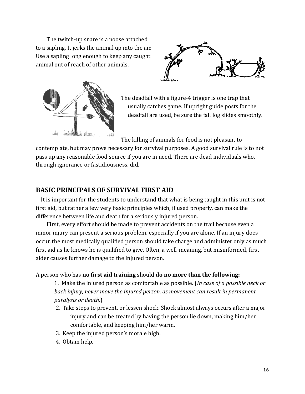The twitch-up snare is a noose attached to a sapling. It jerks the animal up into the air. Use a sapling long enough to keep any caught animal out of reach of other animals.





The deadfall with a figure-4 trigger is one trap that usually catches game. If upright guide posts for the deadfall are used, be sure the fall log slides smoothly.

The killing of animals for food is not pleasant to

contemplate, but may prove necessary for survival purposes. A good survival rule is to not pass up any reasonable food source if you are in need. There are dead individuals who, through ignorance or fastidiousness, did.

### **BASIC PRINCIPALS OF SURVIVAL FIRST AID**

It is important for the students to understand that what is being taught in this unit is not first aid, but rather a few very basic principles which, if used properly, can make the difference between life and death for a seriously injured person.

First, every effort should be made to prevent accidents on the trail because even a minor injury can present a serious problem, especially if you are alone. If an injury does occur, the most medically qualified person should take charge and administer only as much first aid as he knows he is qualified to give. Often, a well-meaning, but misinformed, first aider causes further damage to the injured person.

#### A person who has no first aid training should do no more than the following:

1. Make the injured person as comfortable as possible. (In case of a possible neck or back injury, never move the injured person, as movement can result in permanent *paralysis or death.)* 

- 2. Take steps to prevent, or lessen shock. Shock almost always occurs after a major injury and can be treated by having the person lie down, making him/her comfortable, and keeping him/her warm.
- 3. Keep the injured person's morale high.
- 4. Obtain help.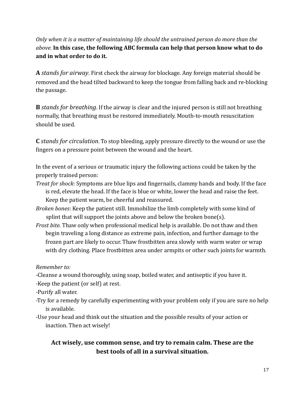Only when it is a matter of maintaining life should the untrained person do more than the above. In this case, the following ABC formula can help that person know what to do and in what order to do it.

A stands for airway. First check the airway for blockage. Any foreign material should be removed and the head tilted backward to keep the tongue from falling back and re-blocking the passage.

**B** stands for breathing. If the airway is clear and the injured person is still not breathing normally, that breathing must be restored immediately. Mouth-to-mouth resuscitation should be used.

**C** stands for circulation. To stop bleeding, apply pressure directly to the wound or use the fingers on a pressure point between the wound and the heart.

In the event of a serious or traumatic injury the following actions could be taken by the properly trained person:

- *Treat for shock:* Symptoms are blue lips and fingernails, clammy hands and body. If the face is red, elevate the head. If the face is blue or white, lower the head and raise the feet. Keep the patient warm, be cheerful and reassured.
- Broken bones: Keep the patient still. Immobilize the limb completely with some kind of splint that will support the joints above and below the broken bone(s).
- *Frost bite*. Thaw only when professional medical help is available. Do not thaw and then begin traveling a long distance as extreme pain, infection, and further damage to the frozen part are likely to occur. Thaw frostbitten area slowly with warm water or wrap with dry clothing. Place frostbitten area under armpits or other such joints for warmth.

Remember to:

-Cleanse a wound thoroughly, using soap, boiled water, and antiseptic if you have it. -Keep the patient (or self) at rest.

-Purify all water.

- -Try for a remedy by carefully experimenting with your problem only if you are sure no help is available.
- -Use your head and think out the situation and the possible results of your action or inaction. Then act wisely!

# Act wisely, use common sense, and try to remain calm. These are the best tools of all in a survival situation.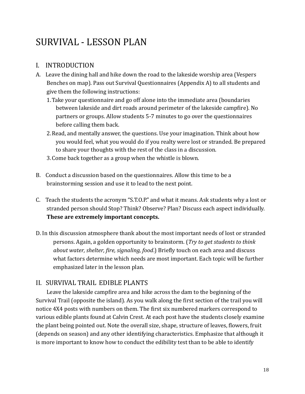# SURVIVAL - LESSON PLAN

# I. INTRODUCTION

- A. Leave the dining hall and hike down the road to the lakeside worship area (Vespers Benches on map). Pass out Survival Questionnaires (Appendix A) to all students and give them the following instructions:
	- 1. Take your questionnaire and go off alone into the immediate area (boundaries between lakeside and dirt roads around perimeter of the lakeside campfire). No partners or groups. Allow students 5-7 minutes to go over the questionnaires before calling them back.
	- 2. Read, and mentally answer, the questions. Use your imagination. Think about how you would feel, what you would do if you realty were lost or stranded. Be prepared to share your thoughts with the rest of the class in a discussion.
	- 3. Come back together as a group when the whistle is blown.
- B. Conduct a discussion based on the question aires. Allow this time to be a brainstorming session and use it to lead to the next point.
- C. Teach the students the acronym "S.T.O.P." and what it means. Ask students why a lost or stranded person should Stop? Think? Observe? Plan? Discuss each aspect individually. These are extremely important concepts.
- D. In this discussion atmosphere thank about the most important needs of lost or stranded persons. Again, a golden opportunity to brainstorm. (Try to get students to think about water, shelter, fire, signaling, food.) Briefly touch on each area and discuss what factors determine which needs are most important. Each topic will be further emphasized later in the lesson plan.

# II. SURVIVAL TRAIL EDIBLE PLANTS

Leave the lakeside campfire area and hike across the dam to the beginning of the Survival Trail (opposite the island). As you walk along the first section of the trail you will notice 4X4 posts with numbers on them. The first six numbered markers correspond to various edible plants found at Calvin Crest. At each post have the students closely examine the plant being pointed out. Note the overall size, shape, structure of leaves, flowers, fruit (depends on season) and any other identifying characteristics. Emphasize that although it is more important to know how to conduct the edibility test than to be able to identify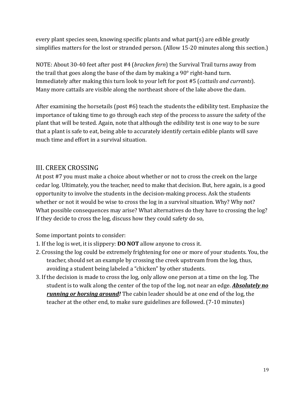every plant species seen, knowing specific plants and what part(s) are edible greatly simplifies matters for the lost or stranded person. (Allow 15-20 minutes along this section.)

NOTE: About 30-40 feet after post #4 (*bracken fern*) the Survival Trail turns away from the trail that goes along the base of the dam by making a  $90^\circ$  right-hand turn. Immediately after making this turn look to your left for post #5 (*cattails and currants*). Many more cattails are visible along the northeast shore of the lake above the dam.

After examining the horsetails (post #6) teach the students the edibility test. Emphasize the importance of taking time to go through each step of the process to assure the safety of the plant that will be tested. Again, note that although the edibility test is one way to be sure that a plant is safe to eat, being able to accurately identify certain edible plants will save much time and effort in a survival situation.

# **III. CREEK CROSSING**

At post #7 you must make a choice about whether or not to cross the creek on the large cedar log. Ultimately, you the teacher, need to make that decision. But, here again, is a good opportunity to involve the students in the decision-making process. Ask the students whether or not it would be wise to cross the log in a survival situation. Why? Why not? What possible consequences may arise? What alternatives do they have to crossing the log? If they decide to cross the log, discuss how they could safety do so,

Some important points to consider:

- 1. If the log is wet, it is slippery: **DO NOT** allow anyone to cross it.
- 2. Crossing the log could be extremely frightening for one or more of your students. You, the teacher, should set an example by crossing the creek upstream from the log, thus, avoiding a student being labeled a "chicken" by other students.
- 3. If the decision is made to cross the log, only allow one person at a time on the log. The student is to walk along the center of the top of the log, not near an edge. **Absolutely no** *running or horsing around!* The cabin leader should be at one end of the log, the teacher at the other end, to make sure guidelines are followed. (7-10 minutes)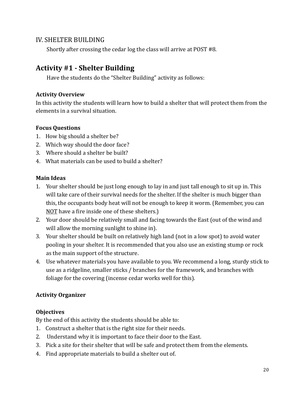#### **IV. SHELTER BUILDING**

Shortly after crossing the cedar log the class will arrive at POST #8.

# **Activity #1 - Shelter Building**

Have the students do the "Shelter Building" activity as follows:

#### **Activity Overview**

In this activity the students will learn how to build a shelter that will protect them from the elements in a survival situation.

#### **Focus Questions**

- 1. How big should a shelter be?
- 2. Which way should the door face?
- 3. Where should a shelter be built?
- 4. What materials can be used to build a shelter?

#### **Main Ideas**

- 1. Your shelter should be just long enough to lay in and just tall enough to sit up in. This will take care of their survival needs for the shelter. If the shelter is much bigger than this, the occupants body heat will not be enough to keep it worm. (Remember, you can NOT have a fire inside one of these shelters.)
- 2. Your door should be relatively small and facing towards the East (out of the wind and will allow the morning sunlight to shine in).
- 3. Your shelter should be built on relatively high land (not in a low spot) to avoid water pooling in your shelter. It is recommended that you also use an existing stump or rock as the main support of the structure.
- 4. Use whatever materials you have available to you. We recommend a long, sturdy stick to use as a ridgeline, smaller sticks / branches for the framework, and branches with foliage for the covering (incense cedar works well for this).

#### **Activity Organizer**

#### **Objectives**

By the end of this activity the students should be able to:

- 1. Construct a shelter that is the right size for their needs.
- 2. Understand why it is important to face their door to the East.
- 3. Pick a site for their shelter that will be safe and protect them from the elements.
- 4. Find appropriate materials to build a shelter out of.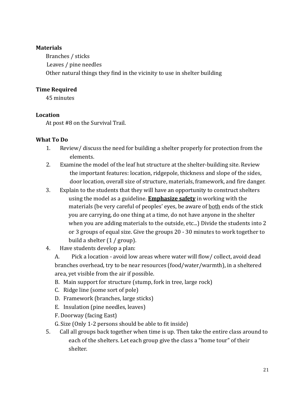#### **Materials**

Branches / sticks Leaves / pine needles Other natural things they find in the vicinity to use in shelter building

#### **Time Required**

45 minutes

#### Location

At post #8 on the Survival Trail.

#### **What To Do**

- 1. Review/ discuss the need for building a shelter properly for protection from the elements.
- 2. Examine the model of the leaf hut structure at the shelter-building site. Review the important features: location, ridgepole, thickness and slope of the sides, door location, overall size of structure, materials, framework, and fire danger.
- 3. Explain to the students that they will have an opportunity to construct shelters using the model as a guideline. **Emphasize safety** in working with the materials (be very careful of peoples' eyes, be aware of <u>both</u> ends of the stick you are carrying, do one thing at a time, do not have anyone in the shelter when you are adding materials to the outside, etc...) Divide the students into 2 or 3 groups of equal size. Give the groups 20 - 30 minutes to work together to build a shelter  $(1 / \text{group})$ .
- Have students develop a plan: 4.

Pick a location - avoid low areas where water will flow/ collect, avoid dead A. branches overhead, try to be near resources (food/water/warmth), in a sheltered area, yet visible from the air if possible.

- B. Main support for structure (stump, fork in tree, large rock)
- C. Ridge line (some sort of pole)
- D. Framework (branches, large sticks)
- E. Insulation (pine needles, leaves)
- F. Doorway (facing East)
- G. Size (Only 1-2 persons should be able to fit inside)
- 5. Call all groups back together when time is up. Then take the entire class around to each of the shelters. Let each group give the class a "home tour" of their shelter.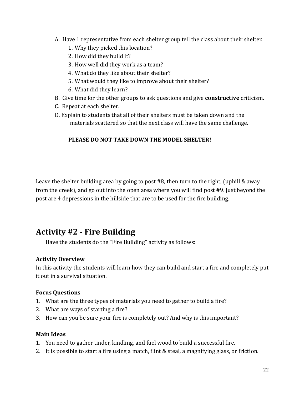- A. Have 1 representative from each shelter group tell the class about their shelter.
	- 1. Why they picked this location?
	- 2. How did they build it?
	- 3. How well did they work as a team?
	- 4. What do they like about their shelter?
	- 5. What would they like to improve about their shelter?
	- 6. What did they learn?
- B. Give time for the other groups to ask questions and give **constructive** criticism.
- C. Repeat at each shelter.
- D. Explain to students that all of their shelters must be taken down and the materials scattered so that the next class will have the same challenge.

#### PLEASE DO NOT TAKE DOWN THE MODEL SHELTER!

Leave the shelter building area by going to post #8, then turn to the right, (uphill & away from the creek), and go out into the open area where you will find post #9. Just beyond the post are 4 depressions in the hillside that are to be used for the fire building.

# **Activity #2 - Fire Building**

Have the students do the "Fire Building" activity as follows:

# **Activity Overview**

In this activity the students will learn how they can build and start a fire and completely put it out in a survival situation.

# **Focus Ouestions**

- 1. What are the three types of materials you need to gather to build a fire?
- 2. What are ways of starting a fire?
- 3. How can you be sure your fire is completely out? And why is this important?

# **Main Ideas**

- 1. You need to gather tinder, kindling, and fuel wood to build a successful fire.
- 2. It is possible to start a fire using a match, flint & steal, a magnifying glass, or friction.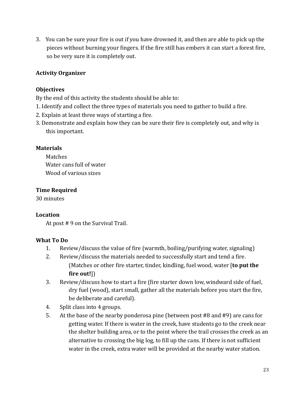3. You can be sure your fire is out if you have drowned it, and then are able to pick up the pieces without burning your fingers. If the fire still has embers it can start a forest fire, so be very sure it is completely out.

#### **Activity Organizer**

#### **Objectives**

By the end of this activity the students should be able to:

- 1. Identify and collect the three types of materials you need to gather to build a fire.
- 2. Explain at least three ways of starting a fire.
- 3. Demonstrate and explain how they can be sure their fire is completely out, and why is this important.

#### **Materials**

**Matches** Water cans full of water Wood of various sizes

#### **Time Required**

30 minutes

#### Location

At post #9 on the Survival Trail.

#### **What To Do**

- 1. Review/discuss the value of fire (warmth, boiling/purifying water, signaling)
- $2^{1}$ Review/discuss the materials needed to successfully start and tend a fire. (Matches or other fire starter, tinder, kindling, fuel wood, water [to put the fire out!])
- $\overline{3}$ . Review/discuss how to start a fire (fire starter down low, windward side of fuel, dry fuel (wood), start small, gather all the materials before you start the fire, be deliberate and careful).
- 4. Split class into 4 groups.
- 5. At the base of the nearby ponderosa pine (between post #8 and #9) are cans for getting water. If there is water in the creek, have students go to the creek near the shelter building area, or to the point where the trail crosses the creek as an alternative to crossing the big log, to fill up the cans. If there is not sufficient water in the creek, extra water will be provided at the nearby water station.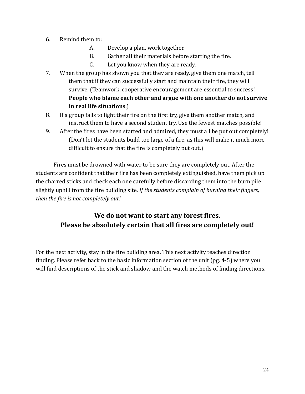- 6. Remind them to:
	- $A_{-}$ Develop a plan, work together.
	- $B<sub>r</sub>$ Gather all their materials before starting the fire.
	- $C_{\cdot}$ Let you know when they are ready.
- $7.$ When the group has shown you that they are ready, give them one match, tell them that if they can successfully start and maintain their fire, they will survive. (Teamwork, cooperative encouragement are essential to success! People who blame each other and argue with one another do not survive in real life situations.)
- 8. If a group fails to light their fire on the first try, give them another match, and instruct them to have a second student try. Use the fewest matches possible!
- 9. After the fires have been started and admired, they must all be put out completely! (Don't let the students build too large of a fire, as this will make it much more difficult to ensure that the fire is completely put out.)

Fires must be drowned with water to be sure they are completely out. After the students are confident that their fire has been completely extinguished, have them pick up the charred sticks and check each one carefully before discarding them into the burn pile slightly uphill from the fire building site. If the students complain of burning their fingers, then the fire is not completely out!

# We do not want to start any forest fires. Please be absolutely certain that all fires are completely out!

For the next activity, stay in the fire building area. This next activity teaches direction finding. Please refer back to the basic information section of the unit (pg. 4-5) where you will find descriptions of the stick and shadow and the watch methods of finding directions.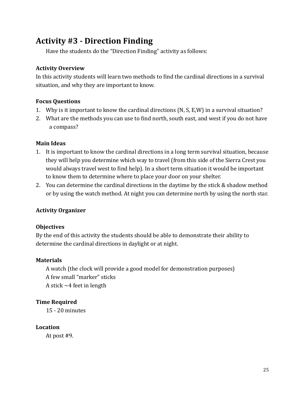# **Activity #3 - Direction Finding**

Have the students do the "Direction Finding" activity as follows:

#### **Activity Overview**

In this activity students will learn two methods to find the cardinal directions in a survival situation, and why they are important to know.

#### **Focus Ouestions**

- 1. Why is it important to know the cardinal directions (N, S, E, W) in a survival situation?
- 2. What are the methods you can use to find north, south east, and west if you do not have a compass?

#### **Main Ideas**

- 1. It is important to know the cardinal directions in a long term survival situation, because they will help you determine which way to travel (from this side of the Sierra Crest you would always travel west to find help). In a short term situation it would be important to know them to determine where to place your door on your shelter.
- 2. You can determine the cardinal directions in the daytime by the stick & shadow method or by using the watch method. At night you can determine north by using the north star.

#### **Activity Organizer**

#### **Objectives**

By the end of this activity the students should be able to demonstrate their ability to determine the cardinal directions in daylight or at night.

#### **Materials**

A watch (the clock will provide a good model for demonstration purposes) A few small "marker" sticks A stick  $\sim$  4 feet in length

#### **Time Required**

 $15 - 20$  minutes

#### Location

At post #9.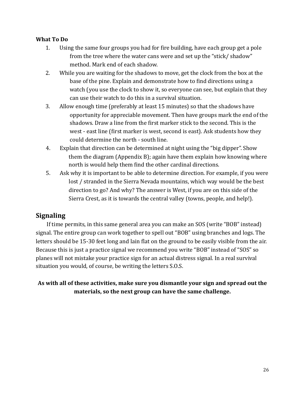#### **What To Do**

- $1<sub>1</sub>$ Using the same four groups you had for fire building, have each group get a pole from the tree where the water cans were and set up the "stick/shadow" method. Mark end of each shadow.
- $2.$ While you are waiting for the shadows to move, get the clock from the box at the base of the pine. Explain and demonstrate how to find directions using a watch (you use the clock to show it, so everyone can see, but explain that they can use their watch to do this in a survival situation.
- 3. Allow enough time (preferably at least 15 minutes) so that the shadows have opportunity for appreciable movement. Then have groups mark the end of the shadows. Draw a line from the first marker stick to the second. This is the west - east line (first marker is west, second is east). Ask students how they could determine the north - south line.
- 4. Explain that direction can be determined at night using the "big dipper". Show them the diagram (Appendix B); again have them explain how knowing where north is would help them find the other cardinal directions.
- 5. Ask why it is important to be able to determine direction. For example, if you were lost / stranded in the Sierra Nevada mountains, which way would be the best direction to go? And why? The answer is West, if you are on this side of the Sierra Crest, as it is towards the central valley (towns, people, and help!).

# **Signaling**

If time permits, in this same general area you can make an SOS (write "BOB" instead) signal. The entire group can work together to spell out "BOB" using branches and logs. The letters should be 15-30 feet long and lain flat on the ground to be easily visible from the air. Because this is just a practice signal we recommend you write "BOB" instead of "SOS" so planes will not mistake your practice sign for an actual distress signal. In a real survival situation you would, of course, be writing the letters S.O.S.

As with all of these activities, make sure you dismantle your sign and spread out the materials, so the next group can have the same challenge.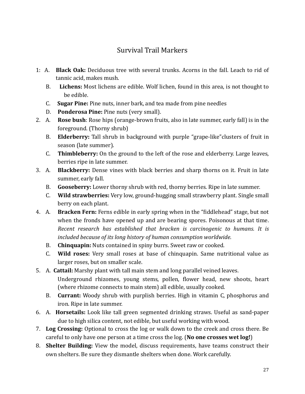# Survival Trail Markers

- 1: A. **Black Oak:** Deciduous tree with several trunks. Acorns in the fall. Leach to rid of tannic acid, makes mush.
	- $B<sub>1</sub>$ **Lichens:** Most lichens are edible. Wolf lichen, found in this area, is not thought to be edible.
	- $\mathsf{C}$ . **Sugar Pine:** Pine nuts, inner bark, and tea made from pine needles
	- $D_{\cdot}$ Ponderosa Pine: Pine nuts (very small).
- 2. A. **Rose bush**: Rose hips (orange-brown fruits, also in late summer, early fall) is in the foreground. (Thorny shrub)
	- Elderberry: Tall shrub in background with purple "grape-like" clusters of fruit in **B.** season (late summer).
	- **Thimbleberry:** On the ground to the left of the rose and elderberry. Large leaves,  $C_{\cdot}$ berries ripe in late summer.
- 3. A. Blackberry: Dense vines with black berries and sharp thorns on it. Fruit in late summer, early fall.
	- Gooseberry: Lower thorny shrub with red, thorny berries. Ripe in late summer. **B.**
	- Wild strawberries: Very low, ground-hugging small strawberry plant. Single small  $C_{\cdot}$ berry on each plant.
- 4. A. **Bracken Fern:** Ferns edible in early spring when in the "fiddlehead" stage, but not when the fronds have opened up and are bearing spores. Poisonous at that time. Recent research has established that bracken is carcinogenic to humans. It is included because of its long history of human consumption worldwide.
	- B. Chinquapin: Nuts contained in spiny burrs. Sweet raw or cooked.
	- C. Wild roses: Very small roses at base of chinguapin. Same nutritional value as larger roses, but on smaller scale.
- 5. A. Cattail: Marshy plant with tall main stem and long parallel veined leaves. Underground rhizomes, young stems, pollen, flower head, new shoots, heart (where rhizome connects to main stem) all edible, usually cooked.
	- B. Currant: Woody shrub with purplish berries. High in vitamin C, phosphorus and iron. Ripe in late summer.
- 6. A. Horsetails: Look like tall green segmented drinking straws. Useful as sand-paper due to high silica content, not edible, but useful working with wood.
- 7. Log Crossing: Optional to cross the log or walk down to the creek and cross there. Be careful to only have one person at a time cross the log. (No one crosses wet log!)
- 8. Shelter Building: View the model, discuss requirements, have teams construct their own shelters. Be sure they dismantle shelters when done. Work carefully.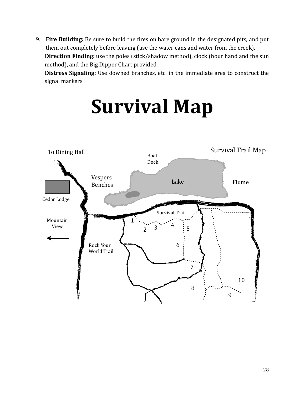9. Fire Building: Be sure to build the fires on bare ground in the designated pits, and put them out completely before leaving (use the water cans and water from the creek). Direction Finding: use the poles (stick/shadow method), clock (hour hand and the sun method), and the Big Dipper Chart provided.

Distress Signaling: Use downed branches, etc. in the immediate area to construct the signal markers



# **Survival Map**